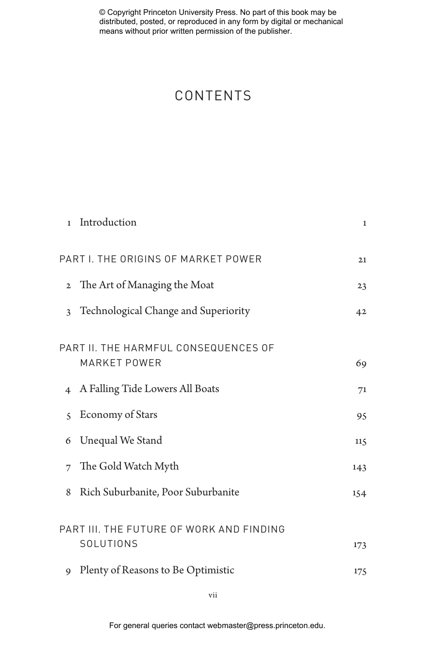## CONTENTS

| $\mathbf{1}$                        | Introduction                                                | $\mathbf{1}$ |
|-------------------------------------|-------------------------------------------------------------|--------------|
| PART I. THE ORIGINS OF MARKET POWER |                                                             | 21           |
|                                     | 2 The Art of Managing the Moat                              | 23           |
| 3                                   | Technological Change and Superiority                        | 42           |
|                                     | PART II. THE HARMFUL CONSEQUENCES OF<br><b>MARKET POWER</b> | 69           |
|                                     | 4 A Falling Tide Lowers All Boats                           | 71           |
| $\leq$                              | <b>Economy of Stars</b>                                     | 95           |
| 6                                   | Unequal We Stand                                            | 115          |
| 7                                   | The Gold Watch Myth                                         | 143          |
| 8                                   | Rich Suburbanite, Poor Suburbanite                          | 154          |
|                                     | PART III. THE FUTURE OF WORK AND FINDING<br>SOLUTIONS       | 173          |
| 9                                   | Plenty of Reasons to Be Optimistic                          | 175          |

For general queries contact webmaster@press.princeton.edu.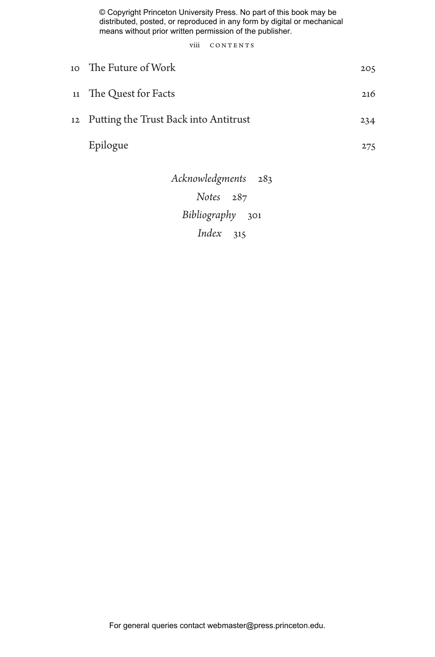viii CONTENTS

| 10 The Future of Work                    | 205 |
|------------------------------------------|-----|
| 11 The Quest for Facts                   | 216 |
| 12 Putting the Trust Back into Antitrust | 234 |
| Epilogue                                 | 275 |
|                                          |     |

*Acknowledgments* 283 *Notes* 287 *Bibliography* 301 *Index* 315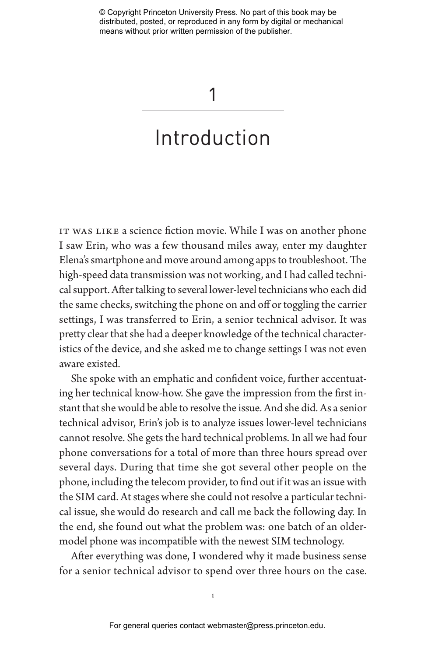## 1

# Introduction

IT WAS LIKE a science fiction movie. While I was on another phone I saw Erin, who was a few thousand miles away, enter my daughter Elena's smartphone and move around among apps to troubleshoot. The high-speed data transmission was not working, and I had called technical support. After talking to several lower-level technicians who each did the same checks, switching the phone on and off or toggling the carrier settings, I was transferred to Erin, a senior technical advisor. It was pretty clear that she had a deeper knowledge of the technical characteristics of the device, and she asked me to change settings I was not even aware existed.

She spoke with an emphatic and confident voice, further accentuating her technical know-how. She gave the impression from the first instant that she would be able to resolve the issue. And she did. As a senior technical advisor, Erin's job is to analyze issues lower-level technicians cannot resolve. She gets the hard technical problems. In all we had four phone conversations for a total of more than three hours spread over several days. During that time she got several other people on the phone, including the telecom provider, to find out if it was an issue with the SIM card. At stages where she could not resolve a particular technical issue, she would do research and call me back the following day. In the end, she found out what the problem was: one batch of an oldermodel phone was incompatible with the newest SIM technology.

After everything was done, I wondered why it made business sense for a senior technical advisor to spend over three hours on the case.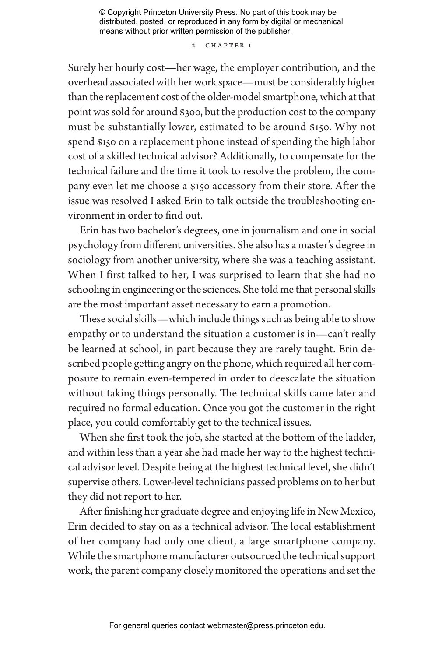#### 2 CHAPTER 1

Surely her hourly cost—her wage, the employer contribution, and the overhead associated with her work space—must be considerably higher than the replacement cost of the older-model smartphone, which at that point was sold for around \$300, but the production cost to the company must be substantially lower, estimated to be around \$150. Why not spend \$150 on a replacement phone instead of spending the high labor cost of a skilled technical advisor? Additionally, to compensate for the technical failure and the time it took to resolve the problem, the company even let me choose a \$150 accessory from their store. After the issue was resolved I asked Erin to talk outside the troubleshooting environment in order to find out.

Erin has two bachelor's degrees, one in journalism and one in social psychology from different universities. She also has a master's degree in sociology from another university, where she was a teaching assistant. When I first talked to her, I was surprised to learn that she had no schooling in engineering or the sciences. She told me that personal skills are the most important asset necessary to earn a promotion.

These social skills—which include things such as being able to show empathy or to understand the situation a customer is in—can't really be learned at school, in part because they are rarely taught. Erin described people getting angry on the phone, which required all her composure to remain even-tempered in order to deescalate the situation without taking things personally. The technical skills came later and required no formal education. Once you got the customer in the right place, you could comfortably get to the technical issues.

When she first took the job, she started at the bottom of the ladder, and within less than a year she had made her way to the highest technical advisor level. Despite being at the highest technical level, she didn't supervise others. Lower-level technicians passed problems on to her but they did not report to her.

After finishing her graduate degree and enjoying life in New Mexico, Erin decided to stay on as a technical advisor. The local establishment of her company had only one client, a large smartphone company. While the smartphone manufacturer outsourced the technical support work, the parent company closely monitored the operations and set the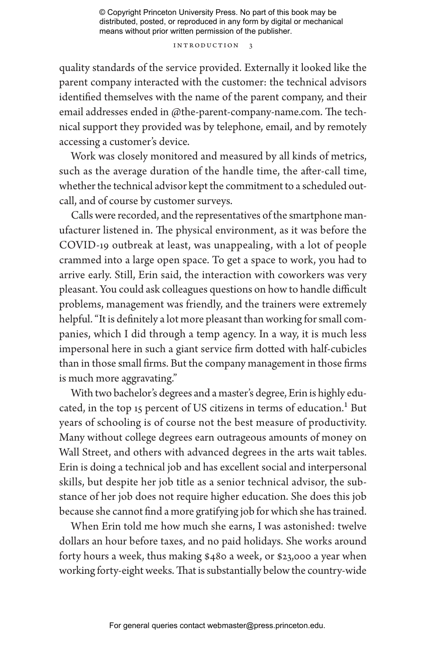#### Introduction 3

quality standards of the service provided. Externally it looked like the parent company interacted with the customer: the technical advisors identified themselves with the name of the parent company, and their email addresses ended in @the-parent-company-name.com. The technical support they provided was by telephone, email, and by remotely accessing a customer's device.

Work was closely monitored and measured by all kinds of metrics, such as the average duration of the handle time, the after-call time, whether the technical advisor kept the commitment to a scheduled outcall, and of course by customer surveys.

Calls were recorded, and the representatives of the smartphone manufacturer listened in. The physical environment, as it was before the COVID-19 outbreak at least, was unappealing, with a lot of people crammed into a large open space. To get a space to work, you had to arrive early. Still, Erin said, the interaction with coworkers was very pleasant. You could ask colleagues questions on how to handle difficult problems, management was friendly, and the trainers were extremely helpful. "It is definitely a lot more pleasant than working for small companies, which I did through a temp agency. In a way, it is much less impersonal here in such a giant service firm dotted with half-cubicles than in those small firms. But the company management in those firms is much more aggravating."

With two bachelor's degrees and a master's degree, Erin is highly educated, in the top 15 percent of US citizens in terms of education.<sup>1</sup> But years of schooling is of course not the best measure of productivity. Many without college degrees earn outrageous amounts of money on Wall Street, and others with advanced degrees in the arts wait tables. Erin is doing a technical job and has excellent social and interpersonal skills, but despite her job title as a senior technical advisor, the substance of her job does not require higher education. She does this job because she cannot find a more gratifying job for which she has trained.

When Erin told me how much she earns, I was astonished: twelve dollars an hour before taxes, and no paid holidays. She works around forty hours a week, thus making \$480 a week, or \$23,000 a year when working forty-eight weeks. That is substantially below the country-wide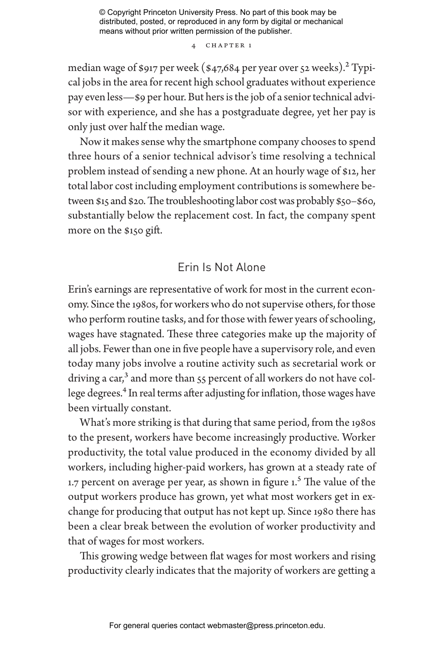#### 4 chapter 1

median wage of \$917 per week (\$47,684 per year over 52 weeks).<sup>2</sup> Typical jobs in the area for recent high school graduates without experience pay even less—\$9 per hour. But hers is the job of a senior technical advisor with experience, and she has a postgraduate degree, yet her pay is only just over half the median wage.

Now it makes sense why the smartphone company chooses to spend three hours of a senior technical advisor's time resolving a technical problem instead of sending a new phone. At an hourly wage of \$12, her total labor cost including employment contributions is somewhere between \$15 and \$20. The troubleshooting labor cost was probably \$50–\$60, substantially below the replacement cost. In fact, the company spent more on the \$150 gift.

## Erin Is Not Alone

Erin's earnings are representative of work for most in the current economy. Since the 1980s, for workers who do not supervise others, for those who perform routine tasks, and for those with fewer years of schooling, wages have stagnated. These three categories make up the majority of all jobs. Fewer than one in five people have a supervisory role, and even today many jobs involve a routine activity such as secretarial work or driving a car,<sup>3</sup> and more than 55 percent of all workers do not have college degrees.<sup>4</sup> In real terms after adjusting for inflation, those wages have been virtually constant.

What's more striking is that during that same period, from the 1980s to the present, workers have become increasingly productive. Worker productivity, the total value produced in the economy divided by all workers, including higher-paid workers, has grown at a steady rate of 1.7 percent on average per year, as shown in figure 1.<sup>5</sup> The value of the output workers produce has grown, yet what most workers get in exchange for producing that output has not kept up. Since 1980 there has been a clear break between the evolution of worker productivity and that of wages for most workers.

This growing wedge between flat wages for most workers and rising productivity clearly indicates that the majority of workers are getting a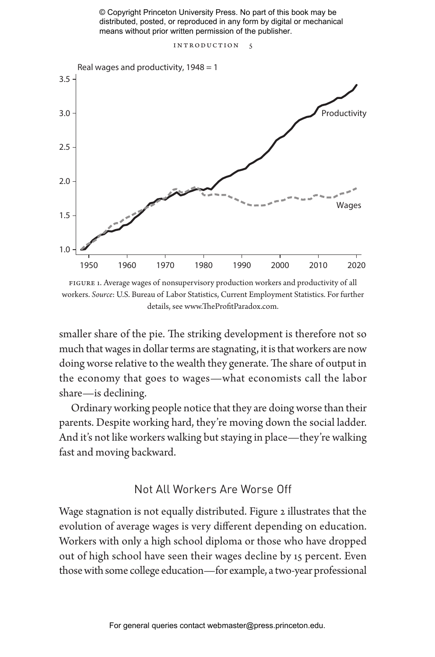INTRODUCTION 5



figure 1. Average wages of nonsupervisory production workers and productivity of all workers. *Source*: U.S. Bureau of Labor Statistics, Current Employment Statistics. For further details, see www.TheProfitParadox.com.

smaller share of the pie. The striking development is therefore not so much that wages in dollar terms are stagnating, it is that workers are now doing worse relative to the wealth they generate. The share of output in the economy that goes to wages—what economists call the labor share—is declining.

Ordinary working people notice that they are doing worse than their parents. Despite working hard, they're moving down the social ladder. And it's not like workers walking but staying in place—they're walking fast and moving backward.

## Not All Workers Are Worse Off

Wage stagnation is not equally distributed. Figure 2 illustrates that the evolution of average wages is very different depending on education. Workers with only a high school diploma or those who have dropped out of high school have seen their wages decline by 15 percent. Even those with some college education—for example, a two-year professional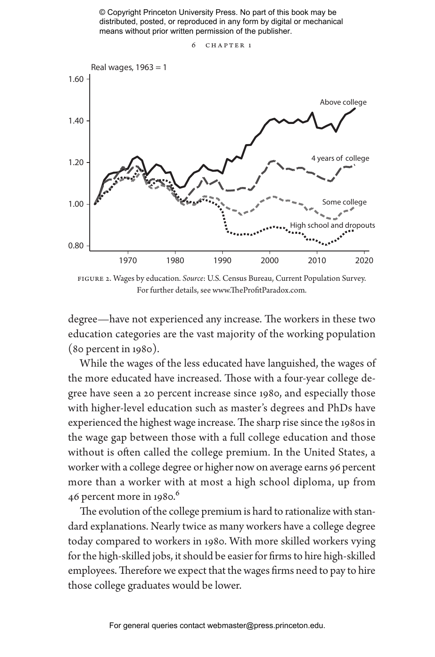6 chapter 1



figure 2. Wages by education. *Source*: U.S. Census Bureau, Current Population Survey. For further details, see www.TheProfitParadox.com.

degree—have not experienced any increase. The workers in these two education categories are the vast majority of the working population (80 percent in 1980).

While the wages of the less educated have languished, the wages of the more educated have increased. Those with a four-year college degree have seen a 20 percent increase since 1980, and especially those with higher-level education such as master's degrees and PhDs have experienced the highest wage increase. The sharp rise since the 1980s in the wage gap between those with a full college education and those without is often called the college premium. In the United States, a worker with a college degree or higher now on average earns 96 percent more than a worker with at most a high school diploma, up from 46 percent more in  $1980$ .<sup>6</sup>

The evolution of the college premium is hard to rationalize with standard explanations. Nearly twice as many workers have a college degree today compared to workers in 1980. With more skilled workers vying for the high-skilled jobs, it should be easier for firms to hire high-skilled employees. Therefore we expect that the wages firms need to pay to hire those college graduates would be lower.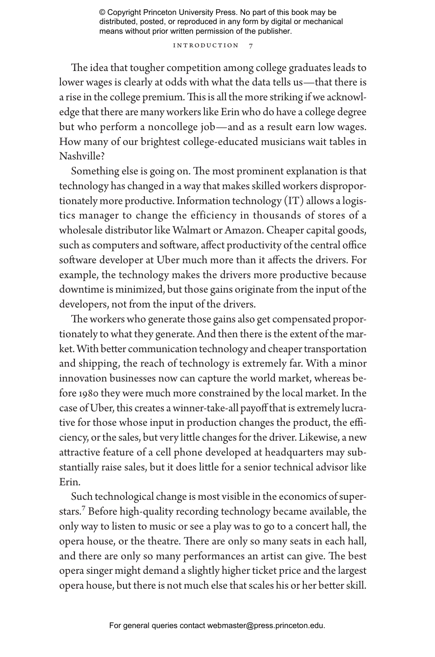#### INTRODUCTION

The idea that tougher competition among college graduates leads to lower wages is clearly at odds with what the data tells us—that there is a rise in the college premium. This is all the more striking if we acknowledge that there are many workers like Erin who do have a college degree but who perform a noncollege job—and as a result earn low wages. How many of our brightest college-educated musicians wait tables in Nashville?

Something else is going on. The most prominent explanation is that technology has changed in a way that makes skilled workers disproportionately more productive. Information technology (IT) allows a logistics manager to change the efficiency in thousands of stores of a wholesale distributor like Walmart or Amazon. Cheaper capital goods, such as computers and software, affect productivity of the central office software developer at Uber much more than it affects the drivers. For example, the technology makes the drivers more productive because downtime is minimized, but those gains originate from the input of the developers, not from the input of the drivers.

The workers who generate those gains also get compensated proportionately to what they generate. And then there is the extent of the market. With better communication technology and cheaper transportation and shipping, the reach of technology is extremely far. With a minor innovation businesses now can capture the world market, whereas before 1980 they were much more constrained by the local market. In the case of Uber, this creates a winner-take-all payoff that is extremely lucrative for those whose input in production changes the product, the efficiency, or the sales, but very little changes for the driver. Likewise, a new attractive feature of a cell phone developed at headquarters may substantially raise sales, but it does little for a senior technical advisor like Erin.

Such technological change is most visible in the economics of superstars.7 Before high-quality recording technology became available, the only way to listen to music or see a play was to go to a concert hall, the opera house, or the theatre. There are only so many seats in each hall, and there are only so many performances an artist can give. The best opera singer might demand a slightly higher ticket price and the largest opera house, but there is not much else that scales his or her better skill.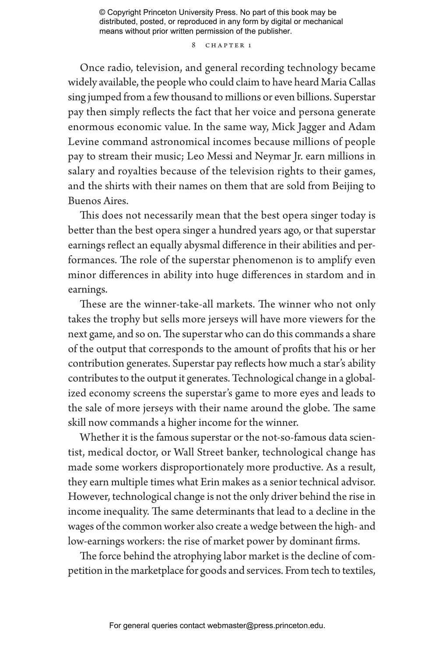#### 8 CHAPTER 1

Once radio, television, and general recording technology became widely available, the people who could claim to have heard Maria Callas sing jumped from a few thousand to millions or even billions. Superstar pay then simply reflects the fact that her voice and persona generate enormous economic value. In the same way, Mick Jagger and Adam Levine command astronomical incomes because millions of people pay to stream their music; Leo Messi and Neymar Jr. earn millions in salary and royalties because of the television rights to their games, and the shirts with their names on them that are sold from Beijing to Buenos Aires.

This does not necessarily mean that the best opera singer today is better than the best opera singer a hundred years ago, or that superstar earnings reflect an equally abysmal difference in their abilities and performances. The role of the superstar phenomenon is to amplify even minor differences in ability into huge differences in stardom and in earnings.

These are the winner-take-all markets. The winner who not only takes the trophy but sells more jerseys will have more viewers for the next game, and so on. The superstar who can do this commands a share of the output that corresponds to the amount of profits that his or her contribution generates. Superstar pay reflects how much a star's ability contributes to the output it generates. Technological change in a globalized economy screens the superstar's game to more eyes and leads to the sale of more jerseys with their name around the globe. The same skill now commands a higher income for the winner.

Whether it is the famous superstar or the not-so-famous data scientist, medical doctor, or Wall Street banker, technological change has made some workers disproportionately more productive. As a result, they earn multiple times what Erin makes as a senior technical advisor. However, technological change is not the only driver behind the rise in income inequality. The same determinants that lead to a decline in the wages of the common worker also create a wedge between the high- and low-earnings workers: the rise of market power by dominant firms.

The force behind the atrophying labor market is the decline of competition in the marketplace for goods and services. From tech to textiles,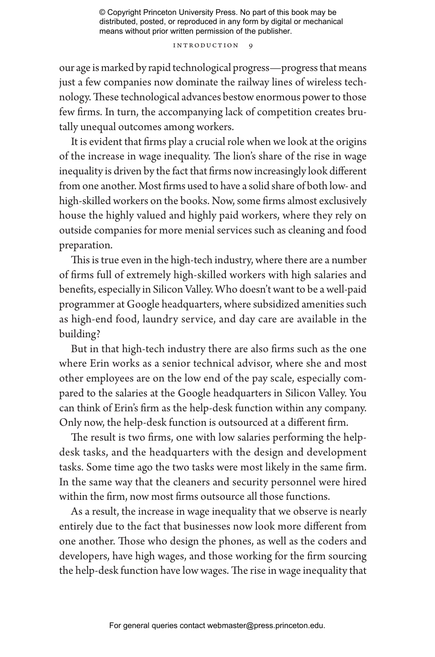#### INTRODUCTION

our age is marked by rapid technological progress—progress that means just a few companies now dominate the railway lines of wireless technology. These technological advances bestow enormous power to those few firms. In turn, the accompanying lack of competition creates brutally unequal outcomes among workers.

It is evident that firms play a crucial role when we look at the origins of the increase in wage inequality. The lion's share of the rise in wage inequality is driven by the fact that firms now increasingly look different from one another. Most firms used to have a solid share of both low- and high-skilled workers on the books. Now, some firms almost exclusively house the highly valued and highly paid workers, where they rely on outside companies for more menial services such as cleaning and food preparation.

This is true even in the high-tech industry, where there are a number of firms full of extremely high-skilled workers with high salaries and benefits, especially in Silicon Valley. Who doesn't want to be a well-paid programmer at Google headquarters, where subsidized amenities such as high-end food, laundry service, and day care are available in the building?

But in that high-tech industry there are also firms such as the one where Erin works as a senior technical advisor, where she and most other employees are on the low end of the pay scale, especially compared to the salaries at the Google headquarters in Silicon Valley. You can think of Erin's firm as the help-desk function within any company. Only now, the help-desk function is outsourced at a different firm.

The result is two firms, one with low salaries performing the helpdesk tasks, and the headquarters with the design and development tasks. Some time ago the two tasks were most likely in the same firm. In the same way that the cleaners and security personnel were hired within the firm, now most firms outsource all those functions.

As a result, the increase in wage inequality that we observe is nearly entirely due to the fact that businesses now look more different from one another. Those who design the phones, as well as the coders and developers, have high wages, and those working for the firm sourcing the help-desk function have low wages. The rise in wage inequality that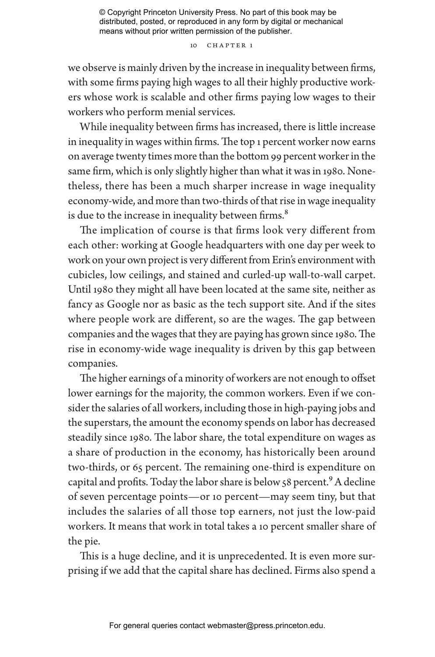#### 10 CHAPTER 1

we observe is mainly driven by the increase in inequality between firms, with some firms paying high wages to all their highly productive workers whose work is scalable and other firms paying low wages to their workers who perform menial services.

While inequality between firms has increased, there is little increase in inequality in wages within firms. The top 1 percent worker now earns on average twenty times more than the bottom 99 percent worker in the same firm, which is only slightly higher than what it was in 1980. Nonetheless, there has been a much sharper increase in wage inequality economy-wide, and more than two-thirds of that rise in wage inequality is due to the increase in inequality between firms.<sup>8</sup>

The implication of course is that firms look very different from each other: working at Google headquarters with one day per week to work on your own project is very different from Erin's environment with cubicles, low ceilings, and stained and curled-up wall-to-wall carpet. Until 1980 they might all have been located at the same site, neither as fancy as Google nor as basic as the tech support site. And if the sites where people work are different, so are the wages. The gap between companies and the wages that they are paying has grown since 1980. The rise in economy-wide wage inequality is driven by this gap between companies.

The higher earnings of a minority of workers are not enough to offset lower earnings for the majority, the common workers. Even if we consider the salaries of all workers, including those in high-paying jobs and the superstars, the amount the economy spends on labor has decreased steadily since 1980. The labor share, the total expenditure on wages as a share of production in the economy, has historically been around two-thirds, or 65 percent. The remaining one-third is expenditure on capital and profits. Today the labor share is below 58 percent.<sup>9</sup> A decline of seven percentage points—or 10 percent—may seem tiny, but that includes the salaries of all those top earners, not just the low-paid workers. It means that work in total takes a 10 percent smaller share of the pie.

This is a huge decline, and it is unprecedented. It is even more surprising if we add that the capital share has declined. Firms also spend a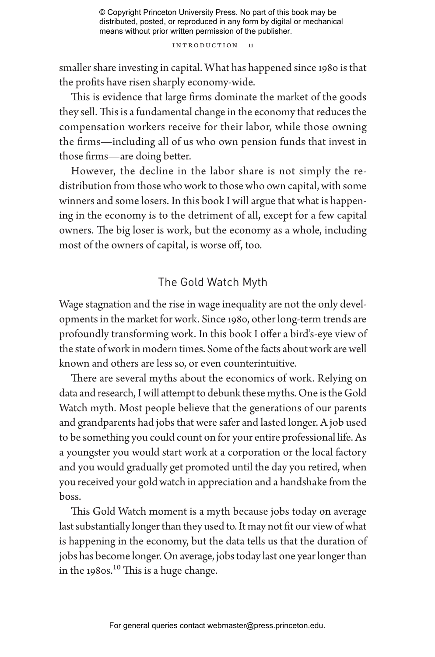#### INTRODUCTION 11

smaller share investing in capital. What has happened since 1980 is that the profits have risen sharply economy-wide.

This is evidence that large firms dominate the market of the goods they sell. This is a fundamental change in the economy that reduces the compensation workers receive for their labor, while those owning the firms—including all of us who own pension funds that invest in those firms—are doing better.

However, the decline in the labor share is not simply the redistribution from those who work to those who own capital, with some winners and some losers. In this book I will argue that what is happening in the economy is to the detriment of all, except for a few capital owners. The big loser is work, but the economy as a whole, including most of the owners of capital, is worse off, too.

## The Gold Watch Myth

Wage stagnation and the rise in wage inequality are not the only developments in the market for work. Since 1980, other long-term trends are profoundly transforming work. In this book I offer a bird's-eye view of the state of work in modern times. Some of the facts about work are well known and others are less so, or even counterintuitive.

There are several myths about the economics of work. Relying on data and research, I will attempt to debunk these myths. One is the Gold Watch myth. Most people believe that the generations of our parents and grandparents had jobs that were safer and lasted longer. A job used to be something you could count on for your entire professional life. As a youngster you would start work at a corporation or the local factory and you would gradually get promoted until the day you retired, when you received your gold watch in appreciation and a handshake from the boss.

This Gold Watch moment is a myth because jobs today on average last substantially longer than they used to. It may not fit our view of what is happening in the economy, but the data tells us that the duration of jobs has become longer. On average, jobs today last one year longer than in the 1980s. $^{10}$  This is a huge change.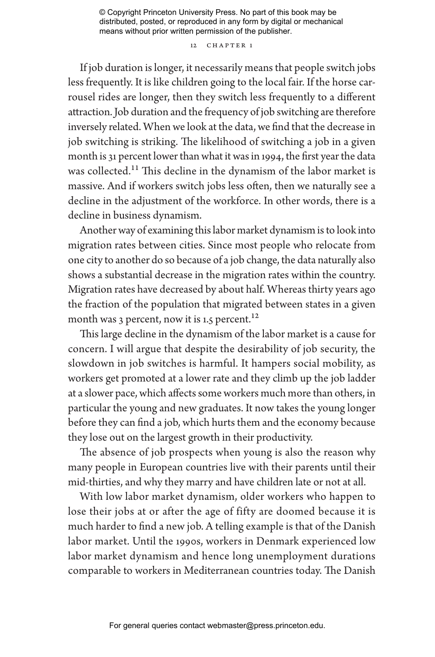#### 12 CHAPTER 1

If job duration is longer, it necessarily means that people switch jobs less frequently. It is like children going to the local fair. If the horse carrousel rides are longer, then they switch less frequently to a different attraction. Job duration and the frequency of job switching are therefore inversely related. When we look at the data, we find that the decrease in job switching is striking. The likelihood of switching a job in a given month is 31 percent lower than what it was in 1994, the first year the data was collected.11 This decline in the dynamism of the labor market is massive. And if workers switch jobs less often, then we naturally see a decline in the adjustment of the workforce. In other words, there is a decline in business dynamism.

Another way of examining this labor market dynamism is to look into migration rates between cities. Since most people who relocate from one city to another do so because of a job change, the data naturally also shows a substantial decrease in the migration rates within the country. Migration rates have decreased by about half. Whereas thirty years ago the fraction of the population that migrated between states in a given month was 3 percent, now it is 1.5 percent.<sup>12</sup>

This large decline in the dynamism of the labor market is a cause for concern. I will argue that despite the desirability of job security, the slowdown in job switches is harmful. It hampers social mobility, as workers get promoted at a lower rate and they climb up the job ladder at a slower pace, which affects some workers much more than others, in particular the young and new graduates. It now takes the young longer before they can find a job, which hurts them and the economy because they lose out on the largest growth in their productivity.

The absence of job prospects when young is also the reason why many people in European countries live with their parents until their mid-thirties, and why they marry and have children late or not at all.

With low labor market dynamism, older workers who happen to lose their jobs at or after the age of fifty are doomed because it is much harder to find a new job. A telling example is that of the Danish labor market. Until the 1990s, workers in Denmark experienced low labor market dynamism and hence long unemployment durations comparable to workers in Mediterranean countries today. The Danish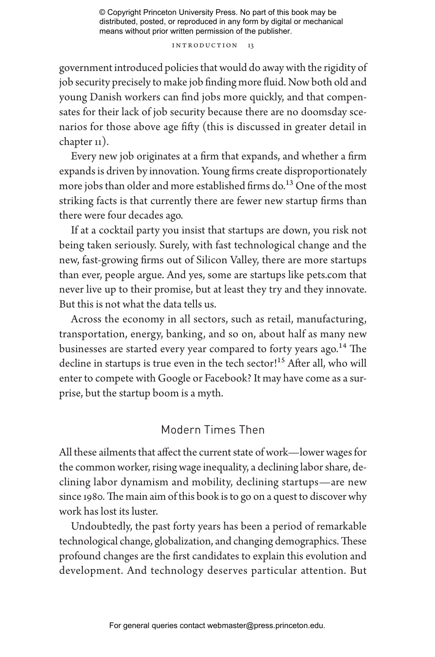#### INTRODUCTION 13

government introduced policies that would do away with the rigidity of job security precisely to make job finding more fluid. Now both old and young Danish workers can find jobs more quickly, and that compensates for their lack of job security because there are no doomsday scenarios for those above age fifty (this is discussed in greater detail in chapter 11).

Every new job originates at a firm that expands, and whether a firm expands is driven by innovation. Young firms create disproportionately more jobs than older and more established firms do.<sup>13</sup> One of the most striking facts is that currently there are fewer new startup firms than there were four decades ago.

If at a cocktail party you insist that startups are down, you risk not being taken seriously. Surely, with fast technological change and the new, fast-growing firms out of Silicon Valley, there are more startups than ever, people argue. And yes, some are startups like pets.com that never live up to their promise, but at least they try and they innovate. But this is not what the data tells us.

Across the economy in all sectors, such as retail, manufacturing, transportation, energy, banking, and so on, about half as many new businesses are started every year compared to forty years ago.<sup>14</sup> The decline in startups is true even in the tech sector!<sup>15</sup> After all, who will enter to compete with Google or Facebook? It may have come as a surprise, but the startup boom is a myth.

## Modern Times Then

All these ailments that affect the current state of work—lower wages for the common worker, rising wage inequality, a declining labor share, declining labor dynamism and mobility, declining startups—are new since 1980. The main aim of this book is to go on a quest to discover why work has lost its luster.

Undoubtedly, the past forty years has been a period of remarkable technological change, globalization, and changing demographics. These profound changes are the first candidates to explain this evolution and development. And technology deserves particular attention. But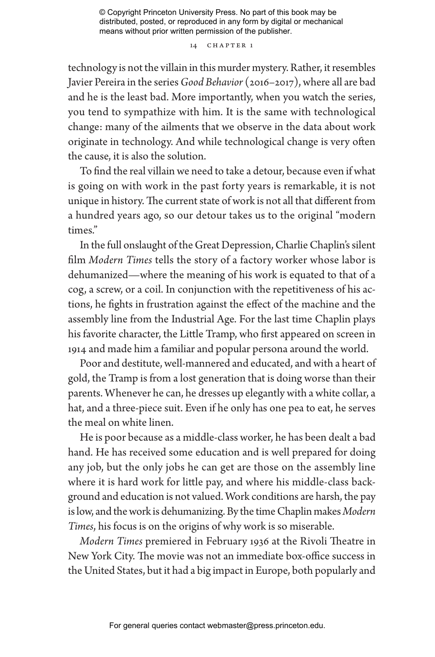#### 14 CHAPTER 1

technology is not the villain in this murder mystery. Rather, it resembles Javier Pereira in the series *Good Behavior* (2016–2017), where all are bad and he is the least bad. More importantly, when you watch the series, you tend to sympathize with him. It is the same with technological change: many of the ailments that we observe in the data about work originate in technology. And while technological change is very often the cause, it is also the solution.

To find the real villain we need to take a detour, because even if what is going on with work in the past forty years is remarkable, it is not unique in history. The current state of work is not all that different from a hundred years ago, so our detour takes us to the original "modern times."

In the full onslaught of the Great Depression, Charlie Chaplin's silent film *Modern Times* tells the story of a factory worker whose labor is dehumanized—where the meaning of his work is equated to that of a cog, a screw, or a coil. In conjunction with the repetitiveness of his actions, he fights in frustration against the effect of the machine and the assembly line from the Industrial Age. For the last time Chaplin plays his favorite character, the Little Tramp, who first appeared on screen in 1914 and made him a familiar and popular persona around the world.

Poor and destitute, well-mannered and educated, and with a heart of gold, the Tramp is from a lost generation that is doing worse than their parents. Whenever he can, he dresses up elegantly with a white collar, a hat, and a three-piece suit. Even if he only has one pea to eat, he serves the meal on white linen.

He is poor because as a middle-class worker, he has been dealt a bad hand. He has received some education and is well prepared for doing any job, but the only jobs he can get are those on the assembly line where it is hard work for little pay, and where his middle-class background and education is not valued. Work conditions are harsh, the pay is low, and the work is dehumanizing. By the time Chaplin makes *Modern Times*, his focus is on the origins of why work is so miserable.

*Modern Times* premiered in February 1936 at the Rivoli Theatre in New York City. The movie was not an immediate box-office success in the United States, but it had a big impact in Europe, both popularly and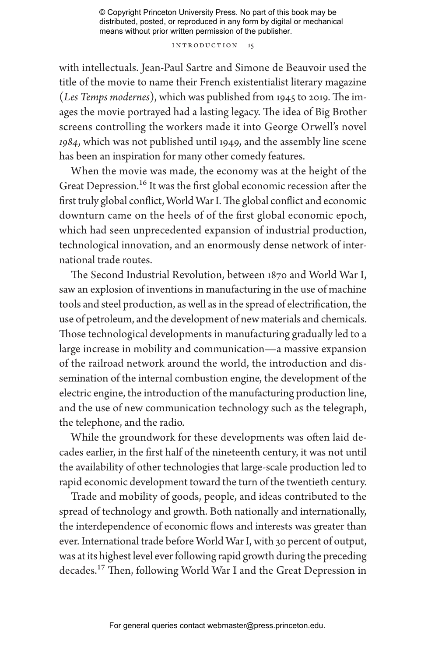#### INTRODUCTION 15

with intellectuals. Jean-Paul Sartre and Simone de Beauvoir used the title of the movie to name their French existentialist literary magazine (*Les Temps modernes*), which was published from 1945 to 2019. The images the movie portrayed had a lasting legacy. The idea of Big Brother screens controlling the workers made it into George Orwell's novel *1984*, which was not published until 1949, and the assembly line scene has been an inspiration for many other comedy features.

When the movie was made, the economy was at the height of the Great Depression.<sup>16</sup> It was the first global economic recession after the first truly global conflict, World War I. The global conflict and economic downturn came on the heels of of the first global economic epoch, which had seen unprecedented expansion of industrial production, technological innovation, and an enormously dense network of international trade routes.

The Second Industrial Revolution, between 1870 and World War I, saw an explosion of inventions in manufacturing in the use of machine tools and steel production, as well as in the spread of electrification, the use of petroleum, and the development of new materials and chemicals. Those technological developments in manufacturing gradually led to a large increase in mobility and communication—a massive expansion of the railroad network around the world, the introduction and dissemination of the internal combustion engine, the development of the electric engine, the introduction of the manufacturing production line, and the use of new communication technology such as the telegraph, the telephone, and the radio.

While the groundwork for these developments was often laid decades earlier, in the first half of the nineteenth century, it was not until the availability of other technologies that large-scale production led to rapid economic development toward the turn of the twentieth century.

Trade and mobility of goods, people, and ideas contributed to the spread of technology and growth. Both nationally and internationally, the interdependence of economic flows and interests was greater than ever. International trade before World War I, with 30 percent of output, was at its highest level ever following rapid growth during the preceding decades.17 Then, following World War I and the Great Depression in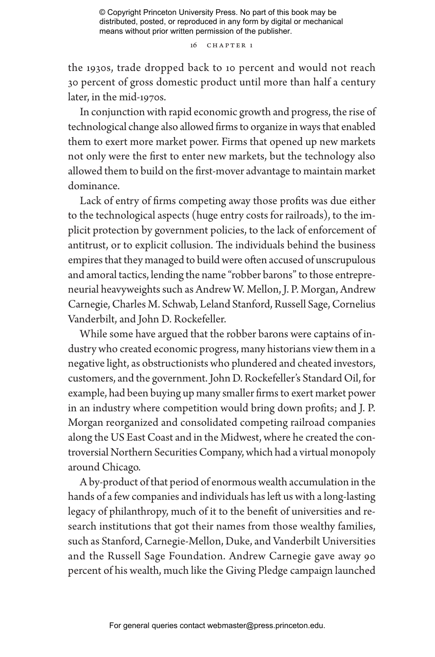#### 16 chapter 1

the 1930s, trade dropped back to 10 percent and would not reach 30 percent of gross domestic product until more than half a century later, in the mid-1970s.

In conjunction with rapid economic growth and progress, the rise of technological change also allowed firms to organize in ways that enabled them to exert more market power. Firms that opened up new markets not only were the first to enter new markets, but the technology also allowed them to build on the first-mover advantage to maintain market dominance.

Lack of entry of firms competing away those profits was due either to the technological aspects (huge entry costs for railroads), to the implicit protection by government policies, to the lack of enforcement of antitrust, or to explicit collusion. The individuals behind the business empires that they managed to build were often accused of unscrupulous and amoral tactics, lending the name "robber barons" to those entrepreneurial heavyweights such as Andrew W. Mellon, J. P. Morgan, Andrew Carnegie, Charles M. Schwab, Leland Stanford, Russell Sage, Cornelius Vanderbilt, and John D. Rockefeller.

While some have argued that the robber barons were captains of industry who created economic progress, many historians view them in a negative light, as obstructionists who plundered and cheated investors, customers, and the government. John D. Rockefeller's Standard Oil, for example, had been buying up many smaller firms to exert market power in an industry where competition would bring down profits; and J. P. Morgan reorganized and consolidated competing railroad companies along the US East Coast and in the Midwest, where he created the controversial Northern Securities Company, which had a virtual monopoly around Chicago.

A by-product of that period of enormous wealth accumulation in the hands of a few companies and individuals has left us with a long-lasting legacy of philanthropy, much of it to the benefit of universities and research institutions that got their names from those wealthy families, such as Stanford, Carnegie-Mellon, Duke, and Vanderbilt Universities and the Russell Sage Foundation. Andrew Carnegie gave away 90 percent of his wealth, much like the Giving Pledge campaign launched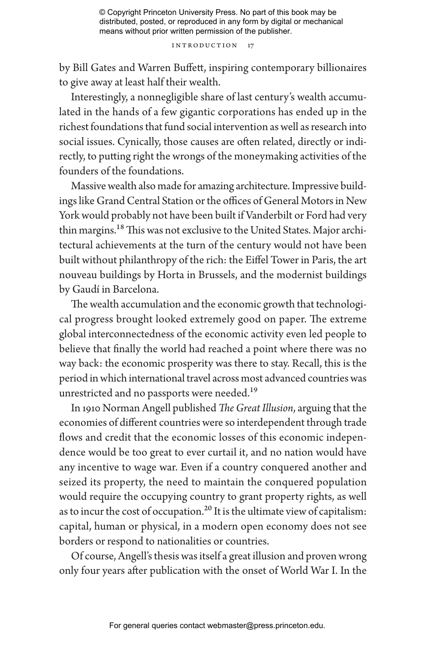#### INTRODUCTION 17

by Bill Gates and Warren Buffett, inspiring contemporary billionaires to give away at least half their wealth.

Interestingly, a nonnegligible share of last century's wealth accumulated in the hands of a few gigantic corporations has ended up in the richest foundations that fund social intervention as well as research into social issues. Cynically, those causes are often related, directly or indirectly, to putting right the wrongs of the moneymaking activities of the founders of the foundations.

Massive wealth also made for amazing architecture. Impressive buildings like Grand Central Station or the offices of General Motors in New York would probably not have been built if Vanderbilt or Ford had very thin margins.<sup>18</sup> This was not exclusive to the United States. Major architectural achievements at the turn of the century would not have been built without philanthropy of the rich: the Eiffel Tower in Paris, the art nouveau buildings by Horta in Brussels, and the modernist buildings by Gaudí in Barcelona.

The wealth accumulation and the economic growth that technological progress brought looked extremely good on paper. The extreme global interconnectedness of the economic activity even led people to believe that finally the world had reached a point where there was no way back: the economic prosperity was there to stay. Recall, this is the period in which international travel across most advanced countries was unrestricted and no passports were needed.<sup>19</sup>

In 1910 Norman Angell published *The Great Illusion*, arguing that the economies of different countries were so interdependent through trade flows and credit that the economic losses of this economic independence would be too great to ever curtail it, and no nation would have any incentive to wage war. Even if a country conquered another and seized its property, the need to maintain the conquered population would require the occupying country to grant property rights, as well as to incur the cost of occupation.<sup>20</sup> It is the ultimate view of capitalism: capital, human or physical, in a modern open economy does not see borders or respond to nationalities or countries.

Of course, Angell's thesis was itself a great illusion and proven wrong only four years after publication with the onset of World War I. In the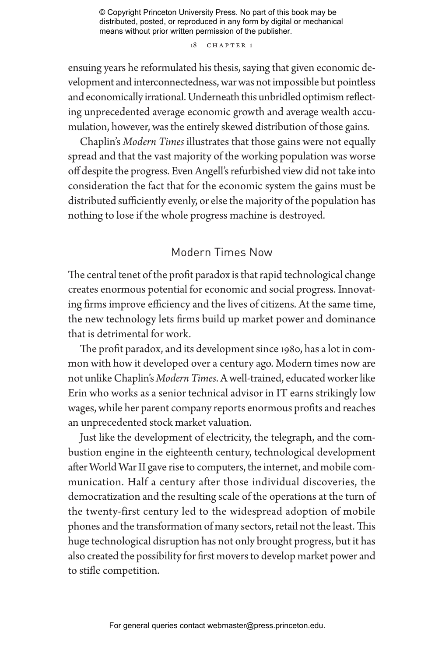#### 18 CHAPTER 1

ensuing years he reformulated his thesis, saying that given economic development and interconnectedness, war was not impossible but pointless and economically irrational. Underneath this unbridled optimism reflecting unprecedented average economic growth and average wealth accumulation, however, was the entirely skewed distribution of those gains.

Chaplin's *Modern Times* illustrates that those gains were not equally spread and that the vast majority of the working population was worse off despite the progress. Even Angell's refurbished view did not take into consideration the fact that for the economic system the gains must be distributed sufficiently evenly, or else the majority of the population has nothing to lose if the whole progress machine is destroyed.

## Modern Times Now

The central tenet of the profit paradox is that rapid technological change creates enormous potential for economic and social progress. Innovating firms improve efficiency and the lives of citizens. At the same time, the new technology lets firms build up market power and dominance that is detrimental for work.

The profit paradox, and its development since 1980, has a lot in common with how it developed over a century ago. Modern times now are not unlike Chaplin's *Modern Times*. A well-trained, educated worker like Erin who works as a senior technical advisor in IT earns strikingly low wages, while her parent company reports enormous profits and reaches an unprecedented stock market valuation.

Just like the development of electricity, the telegraph, and the combustion engine in the eighteenth century, technological development after World War II gave rise to computers, the internet, and mobile communication. Half a century after those individual discoveries, the democratization and the resulting scale of the operations at the turn of the twenty-first century led to the widespread adoption of mobile phones and the transformation of many sectors, retail not the least. This huge technological disruption has not only brought progress, but it has also created the possibility for first movers to develop market power and to stifle competition.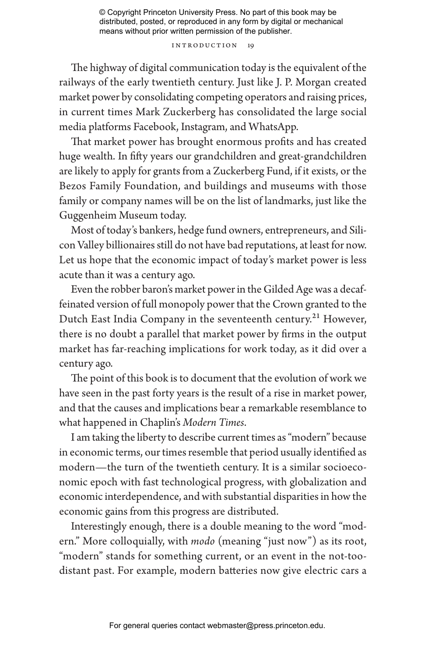#### INTRODUCTION 19

The highway of digital communication today is the equivalent of the railways of the early twentieth century. Just like J. P. Morgan created market power by consolidating competing operators and raising prices, in current times Mark Zuckerberg has consolidated the large social media platforms Facebook, Instagram, and WhatsApp.

That market power has brought enormous profits and has created huge wealth. In fifty years our grandchildren and great-grandchildren are likely to apply for grants from a Zuckerberg Fund, if it exists, or the Bezos Family Foundation, and buildings and museums with those family or company names will be on the list of landmarks, just like the Guggenheim Museum today.

Most of today's bankers, hedge fund owners, entrepreneurs, and Silicon Valley billionaires still do not have bad reputations, at least for now. Let us hope that the economic impact of today's market power is less acute than it was a century ago.

Even the robber baron's market power in the Gilded Age was a decaffeinated version of full monopoly power that the Crown granted to the Dutch East India Company in the seventeenth century.<sup>21</sup> However, there is no doubt a parallel that market power by firms in the output market has far-reaching implications for work today, as it did over a century ago.

The point of this book is to document that the evolution of work we have seen in the past forty years is the result of a rise in market power, and that the causes and implications bear a remarkable resemblance to what happened in Chaplin's *Modern Times*.

I am taking the liberty to describe current times as "modern" because in economic terms, our times resemble that period usually identified as modern—the turn of the twentieth century. It is a similar socioeconomic epoch with fast technological progress, with globalization and economic interdependence, and with substantial disparities in how the economic gains from this progress are distributed.

Interestingly enough, there is a double meaning to the word "modern." More colloquially, with *modo* (meaning "just now") as its root, "modern" stands for something current, or an event in the not-toodistant past. For example, modern batteries now give electric cars a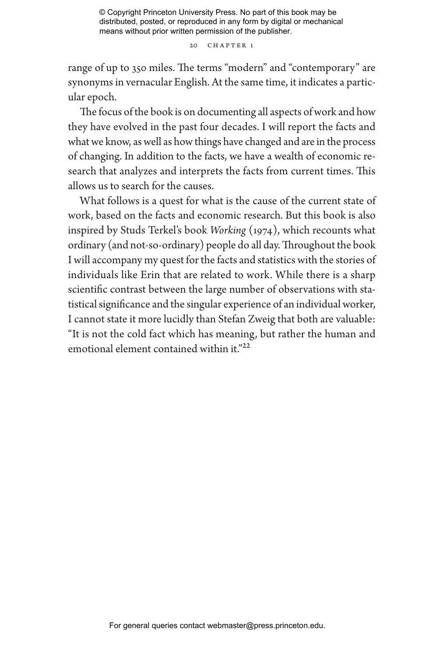#### 20 CHAPTER 1

range of up to 350 miles. The terms "modern" and "contemporary" are synonyms in vernacular English. At the same time, it indicates a particular epoch.

The focus of the book is on documenting all aspects of work and how they have evolved in the past four decades. I will report the facts and what we know, as well as how things have changed and are in the process of changing. In addition to the facts, we have a wealth of economic research that analyzes and interprets the facts from current times. This allows us to search for the causes.

What follows is a quest for what is the cause of the current state of work, based on the facts and economic research. But this book is also inspired by Studs Terkel's book *Working* (1974), which recounts what ordinary (and not-so-ordinary) people do all day. Throughout the book I will accompany my quest for the facts and statistics with the stories of individuals like Erin that are related to work. While there is a sharp scientific contrast between the large number of observations with statistical significance and the singular experience of an individual worker, I cannot state it more lucidly than Stefan Zweig that both are valuable: "It is not the cold fact which has meaning, but rather the human and emotional element contained within it."<sup>22</sup>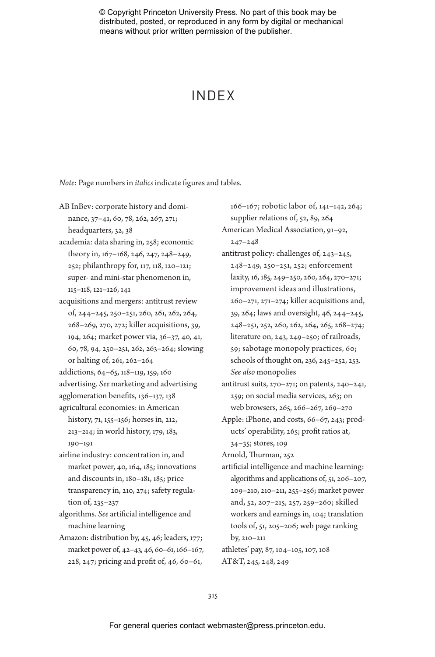## INDEX

*Note*: Page numbers in *italics* indicate figures and tables.

AB InBev: corporate history and dominance, 37–41, 60, 78, 262, 267, 271; headquarters, 32, 38

academia: data sharing in, 258; economic theory in, 167–168, 246, 247, 248–249, 252; philanthropy for, 117, 118, 120–121; super- and mini-star phenomenon in, 115–118, 121–126, 141

- acquisitions and mergers: antitrust review of, 244–245, 250–251, 260, 261, 262, 264, 268–269, 270, 272; killer acquisitions, 39, 194, 264; market power via, 36–37, 40, 41, 60, 78, 94, 250–251, 262, 263–264; slowing or halting of, 261, 262–264
- addictions, 64–65, 118–119, 159, 160 advertising. *See* marketing and advertising agglomeration benefits, 136–137, 138
- agricultural economies: in American history, 71, 155–156; horses in, 212,
	- 213–214; in world history, 179, 183, 190–191
- airline industry: concentration in, and market power, 40, 164, 185; innovations and discounts in, 180–181, 185; price transparency in, 210, 274; safety regulation of, 235–237

algorithms. *See* artificial intelligence and machine learning

Amazon: distribution by, 45, 46; leaders, 177; market power of, 42–43, 46, 60–61, 166–167, 228, 247; pricing and profit of, 46, 60–61,

166–167; robotic labor of, 141–142, 264; supplier relations of, 52, 89, 264 American Medical Association, 91–92, 247–248 antitrust policy: challenges of, 243–245,

248–249, 250–251, 252; enforcement laxity, 16, 185, 249–250, 260, 264, 270–271; improvement ideas and illustrations, 260–271, 271–274; killer acquisitions and, 39, 264; laws and oversight, 46, 244–245, 248–251, 252, 260, 262, 264, 265, 268–274; literature on, 243, 249–250; of railroads, 59; sabotage monopoly practices, 60; schools of thought on, 236, 245–252, 253. *See also* monopolies

- antitrust suits, 270–271; on patents, 240–241, 259; on social media services, 263; on web browsers, 265, 266–267, 269–270
- Apple: iPhone, and costs, 66–67, 243; products' operability, 265; profit ratios at, 34–35; stores, 109

Arnold, Thurman, 252

- artificial intelligence and machine learning: algorithms and applications of, 51, 206–207, 209–210, 210–211, 255–256; market power and, 52, 207–215, 257, 259–260; skilled workers and earnings in, 104; translation tools of, 51, 205–206; web page ranking by, 210–211 athletes' pay, 87, 104–105, 107, 108
- AT&T, 245, 248, 249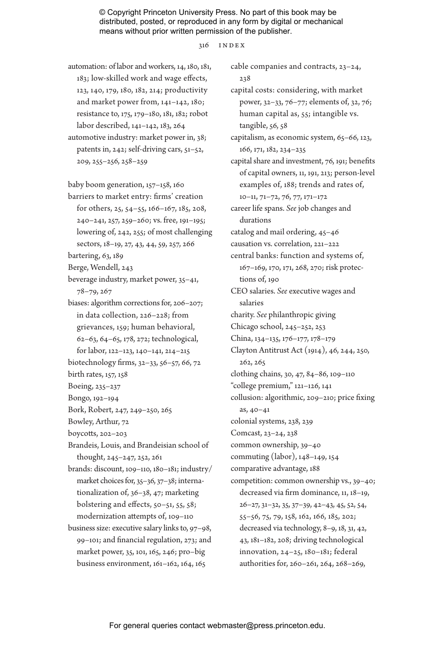#### 316 index

- automation: of labor and workers, 14, 180, 181, 183; low-skilled work and wage effects, 123, 140, 179, 180, 182, 214; productivity and market power from, 141–142, 180; resistance to, 175, 179–180, 181, 182; robot labor described, 141–142, 183, 264 automotive industry: market power in, 38;
- patents in, 242; self-driving cars, 51–52, 209, 255–256, 258–259
- baby boom generation, 157–158, 160 barriers to market entry: firms' creation for others, 25, 54–55, 166–167, 185, 208, 240–241, 257, 259–260; vs. free, 191–195; lowering of, 242, 255; of most challenging sectors, 18–19, 27, 43, 44, 59, 257, 266
- bartering, 63, 189
- Berge, Wendell, 243
- beverage industry, market power, 35–41, 78–79, 267
- biases: algorithm corrections for, 206–207; in data collection, 226–228; from grievances, 159; human behavioral, 62–63, 64–65, 178, 272; technological, for labor, 122–123, 140–141, 214–215
- biotechnology firms, 32–33, 56–57, 66, 72
- birth rates, 157, 158
- Boeing, 235–237
- Bongo, 192–194
- Bork, Robert, 247, 249–250, 265
- Bowley, Arthur, 72
- boycotts, 202–203
- Brandeis, Louis, and Brandeisian school of thought, 245–247, 252, 261
- brands: discount, 109–110, 180–181; industry/ market choices for, 35–36, 37–38; internationalization of, 36–38, 47; marketing bolstering and effects, 50–51, 55, 58; modernization attempts of, 109–110
- business size: executive salary links to, 97–98, 99–101; and financial regulation, 273; and market power, 35, 101, 165, 246; pro–big business environment, 161–162, 164, 165

cable companies and contracts, 23–24, 238 capital costs: considering, with market power, 32–33, 76–77; elements of, 32, 76; human capital as, 55; intangible vs. tangible, 56, 58 capitalism, as economic system, 65–66, 123, 166, 171, 182, 234–235 capital share and investment, 76, 191; benefits of capital owners, 11, 191, 213; person-level examples of, 188; trends and rates of, 10–11, 71–72, 76, 77, 171–172 career life spans. *See* job changes and durations catalog and mail ordering, 45–46 causation vs. correlation, 221–222 central banks: function and systems of, 167–169, 170, 171, 268, 270; risk protections of, 190 CEO salaries. *See* executive wages and salaries charity. *See* philanthropic giving Chicago school, 245–252, 253 China, 134–135, 176–177, 178–179 Clayton Antitrust Act (1914), 46, 244, 250, 262, 265 clothing chains, 30, 47, 84–86, 109–110 "college premium," 121–126, 141 collusion: algorithmic, 209–210; price fixing as, 40–41 colonial systems, 238, 239 Comcast, 23–24, 238 common ownership, 39–40 commuting (labor), 148–149, 154 comparative advantage, 188 competition: common ownership vs., 39–40; decreased via firm dominance, 11, 18–19, 26–27, 31–32, 35, 37–39, 42–43, 45, 52, 54, 55–56, 75, 79, 158, 162, 166, 185, 202; decreased via technology, 8–9, 18, 31, 42, 43, 181–182, 208; driving technological innovation, 24–25, 180–181; federal authorities for, 260–261, 264, 268–269,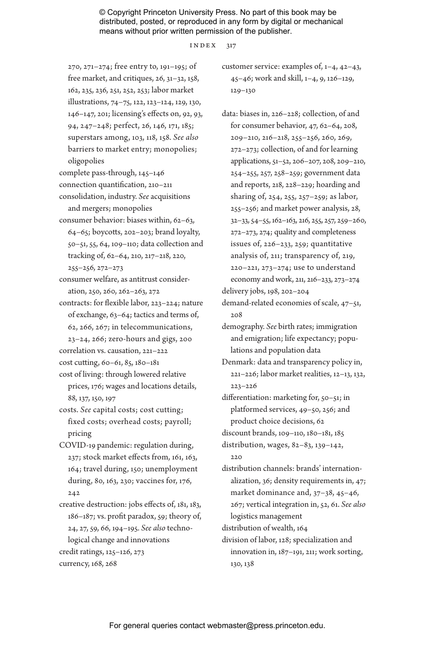#### $INDEX$  317

270, 271–274; free entry to, 191–195; of free market, and critiques, 26, 31–32, 158, 162, 235, 236, 251, 252, 253; labor market illustrations, 74–75, 122, 123–124, 129, 130, 146–147, 201; licensing's effects on, 92, 93, 94, 247–248; perfect, 26, 146, 171, 185; superstars among, 103, 118, 158. *See also* barriers to market entry; monopolies; oligopolies

complete pass-through, 145–146 connection quantification, 210–211 consolidation, industry. *See* acquisitions

and mergers; monopolies

consumer behavior: biases within, 62–63, 64–65; boycotts, 202–203; brand loyalty, 50–51, 55, 64, 109–110; data collection and tracking of, 62–64, 210, 217–218, 220, 255–256, 272–273

consumer welfare, as antitrust consideration, 250, 260, 262–263, 272

contracts: for flexible labor, 223–224; nature of exchange, 63–64; tactics and terms of, 62, 266, 267; in telecommunications, 23–24, 266; zero-hours and gigs, 200

correlation vs. causation, 221–222

- cost cutting, 60–61, 85, 180–181
- cost of living: through lowered relative prices, 176; wages and locations details, 88, 137, 150, 197

costs. *See* capital costs; cost cutting; fixed costs; overhead costs; payroll; pricing

COVID-19 pandemic: regulation during, 237; stock market effects from, 161, 163, 164; travel during, 150; unemployment during, 80, 163, 230; vaccines for, 176, 242

creative destruction: jobs effects of, 181, 183, 186–187; vs. profit paradox, 59; theory of, 24, 27, 59, 66, 194–195. *See also* technological change and innovations

credit ratings, 125–126, 273 currency, 168, 268

- customer service: examples of, 1–4, 42–43, 45–46; work and skill, 1–4, 9, 126–129, 129–130
- data: biases in, 226–228; collection, of and for consumer behavior, 47, 62–64, 208, 209–210, 216–218, 255–256, 260, 269, 272–273; collection, of and for learning applications, 51–52, 206–207, 208, 209–210, 254–255, 257, 258–259; government data and reports, 218, 228–229; hoarding and sharing of, 254, 255, 257–259; as labor, 255–256; and market power analysis, 28, 32–33, 54–55, 162–163, 216, 255, 257, 259–260, 272–273, 274; quality and completeness issues of, 226–233, 259; quantitative analysis of, 211; transparency of, 219, 220–221, 273–274; use to understand economy and work, 211, 216–233, 273–274

delivery jobs, 198, 202–204

demand-related economies of scale, 47–51, 208

demography. *See* birth rates; immigration and emigration; life expectancy; populations and population data

Denmark: data and transparency policy in, 221–226; labor market realities, 12–13, 132, 223–226

differentiation: marketing for, 50–51; in platformed services, 49–50, 256; and product choice decisions, 62

discount brands, 109–110, 180–181, 185

distribution, wages, 82–83, 139–142, 220

distribution channels: brands' internationalization, 36; density requirements in, 47; market dominance and, 37–38, 45–46, 267; vertical integration in, 52, 61. *See also* logistics management

distribution of wealth, 164

division of labor, 128; specialization and innovation in, 187–191, 211; work sorting, 130, 138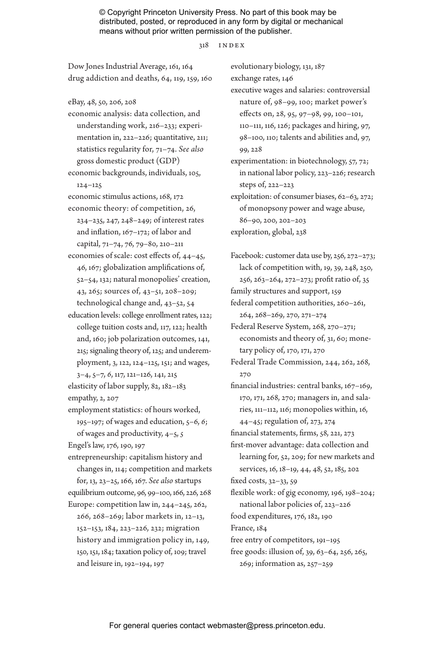#### 318 index

Dow Jones Industrial Average, 161, 164 drug addiction and deaths, 64, 119, 159, 160 eBay, 48, 50, 206, 208 economic analysis: data collection, and understanding work, 216–233; experimentation in, 222–226; quantitative, 211; statistics regularity for, 71–74. *See also* gross domestic product (GDP) economic backgrounds, individuals, 105, 124–125 economic stimulus actions, 168, 172 economic theory: of competition, 26, 234–235, 247, 248–249; of interest rates and inflation, 167–172; of labor and capital, 71–74, 76, 79–80, 210–211 economies of scale: cost effects of, 44–45, 46, 167; globalization amplifications of, 52–54, 132; natural monopolies' creation, 43, 265; sources of, 43–51, 208–209; technological change and, 43–52, 54 education levels: college enrollment rates, 122; college tuition costs and, 117, 122; health and, 160; job polarization outcomes, 141, 215; signaling theory of, 125; and underemployment, 3, 122, 124–125, 151; and wages, 3–4, 5–7, *6*, 117, 121–126, 141, 215 elasticity of labor supply, 82, 182–183 empathy, 2, 207 employment statistics: of hours worked, 195–197; of wages and education, 5–6, *6*; of wages and productivity, 4–5, *5* Engel's law, 176, 190, 197 entrepreneurship: capitalism history and changes in, 114; competition and markets for, 13, 23–25, 166, 167. *See also* startups equilibrium outcome, 96, 99–100, 166, 226, 268 Europe: competition law in, 244–245, 262, 266, 268–269; labor markets in, 12–13, 152–153, 184, 223–226, 232; migration history and immigration policy in, 149, 150, 151, 184; taxation policy of, 109; travel and leisure in, 192–194, 197

evolutionary biology, 131, 187 exchange rates, 146 executive wages and salaries: controversial

nature of, 98–99, 100; market power's effects on, 28, 95, 97–98, 99, 100–101, 110–111, 116, 126; packages and hiring, 97, 98–100, 110; talents and abilities and, 97, 99, 228

experimentation: in biotechnology, 57, 72; in national labor policy, 223–226; research steps of, 222–223

exploitation: of consumer biases, 62–63, 272; of monopsony power and wage abuse, 86–90, 200, 202–203 exploration, global, 238

Facebook: customer data use by, 256, 272–273; lack of competition with, 19, 39, 248, 250, 256, 263–264, 272–273; profit ratio of, 35

family structures and support, 159

federal competition authorities, 260–261, 264, 268–269, 270, 271–274

Federal Reserve System, 268, 270–271; economists and theory of, 31, 60; monetary policy of, 170, 171, 270

- Federal Trade Commission, 244, 262, 268, 270
- financial industries: central banks, 167–169, 170, 171, 268, 270; managers in, and salaries, 111–112, 116; monopolies within, 16, 44–45; regulation of, 273, 274

financial statements, firms, 58, 221, 273

first-mover advantage: data collection and learning for, 52, 209; for new markets and services, 16, 18–19, 44, 48, 52, 185, 202

fixed costs, 32–33, 59

flexible work: of gig economy, 196, 198–204; national labor policies of, 223–226

food expenditures, 176, 182, 190

France, 184

free entry of competitors, 191–195

free goods: illusion of, 39, 63–64, 256, 265, 269; information as, 257–259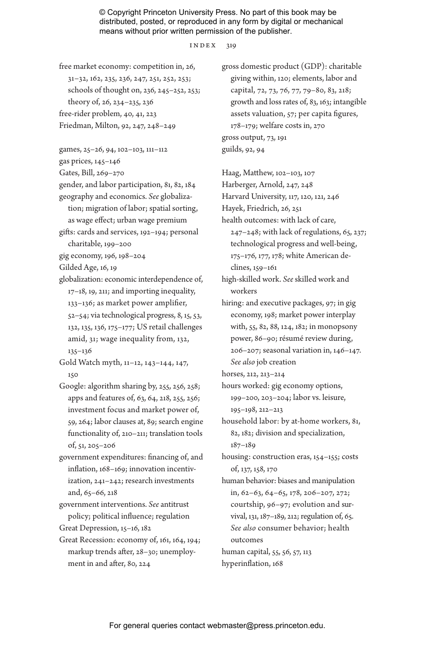#### index 319

free market economy: competition in, 26, 31–32, 162, 235, 236, 247, 251, 252, 253; schools of thought on, 236, 245–252, 253; theory of, 26, 234–235, 236 free-rider problem, 40, 41, 223 Friedman, Milton, 92, 247, 248–249

games, 25–26, 94, 102–103, 111–112

- gas prices, 145–146
- Gates, Bill, 269–270

gender, and labor participation, 81, 82, 184 geography and economics. *See* globalization; migration of labor; spatial sorting,

as wage effect; urban wage premium gifts: cards and services, 192–194; personal

- charitable, 199–200
- gig economy, 196, 198–204
- Gilded Age, 16, 19

globalization: economic interdependence of, 17–18, 19, 211; and importing inequality, 133–136; as market power amplifier, 52–54; via technological progress, 8, 15, 53, 132, 135, 136, 175–177; US retail challenges amid, 31; wage inequality from, 132, 135–136

Gold Watch myth, 11–12, 143–144, 147, 150

- Google: algorithm sharing by, 255, 256, 258; apps and features of, 63, 64, 218, 255, 256; investment focus and market power of, 59, 264; labor clauses at, 89; search engine functionality of, 210–211; translation tools of, 51, 205–206
- government expenditures: financing of, and inflation, 168–169; innovation incentivization, 241–242; research investments and, 65–66, 218

government interventions. *See* antitrust policy; political influence; regulation Great Depression, 15–16, 182

Great Recession: economy of, 161, 164, 194; markup trends after, 28–30; unemployment in and after, 80, 224

gross domestic product (GDP): charitable giving within, 120; elements, labor and capital, 72, 73, 76, 77, 79–80, 83, 218; growth and loss rates of, 83, 163; intangible assets valuation, 57; per capita figures, 178–179; welfare costs in, 270 gross output, 73, 191 guilds, 92, 94

- Haag, Matthew, 102–103, 107 Harberger, Arnold, 247, 248 Harvard University, 117, 120, 121, 246 Hayek, Friedrich, 26, 251 health outcomes: with lack of care, 247–248; with lack of regulations, 65, 237; technological progress and well-being, 175–176, 177, 178; white American de clines, 159–161
- high-skilled work. *See* skilled work and workers
- hiring: and executive packages, 97; in gig economy, 198; market power interplay with, 55, 82, 88, 124, 182; in monopsony power, 86–90; résumé review during, 206–207; seasonal variation in, 146–147. *See also* job creation
- horses, 212, 213–214
- hours worked: gig economy options, 199–200, 203–204; labor vs. leisure, 195–198, 212–213
- household labor: by at-home workers, 81, 82, 182; division and specialization, 187–189

housing: construction eras, 154–155; costs of, 137, 158, 170

- human behavior: biases and manipulation in, 62–63, 64–65, 178, 206–207, 272; courtship, 96–97; evolution and survival, 131, 187–189, 212; regulation of, 65. *See also* consumer behavior; health outcomes
- human capital, 55, 56, 57, 113

hyperinflation, 168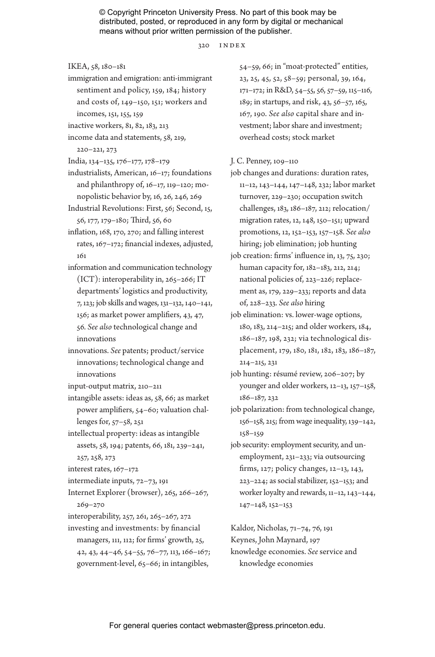320 index

IKEA, 58, 180–181

- immigration and emigration: anti-immigrant sentiment and policy, 159, 184; history and costs of, 149–150, 151; workers and incomes, 151, 155, 159
- inactive workers, 81, 82, 183, 213
- income data and statements, 58, 219, 220–221, 273
- India, 134–135, 176–177, 178–179
- industrialists, American, 16–17; foundations and philanthropy of, 16–17, 119–120; monopolistic behavior by, 16, 26, 246, 269
- Industrial Revolutions: First, 56; Second, 15, 56, 177, 179–180; Third, 56, 60
- inflation, 168, 170, 270; and falling interest rates, 167–172; financial indexes, adjusted, 161
- information and communication technology (ICT): interoperability in, 265–266; IT departments' logistics and productivity, 7, 123; job skills and wages, 131–132, 140–141, 156; as market power amplifiers, 43, 47, 56. *See also* technological change and innovations
- innovations. *See* patents; product/service innovations; technological change and innovations
- input-output matrix, 210–211
- intangible assets: ideas as, 58, 66; as market power amplifiers, 54–60; valuation challenges for, 57–58, 251
- intellectual property: ideas as intangible assets, 58, 194; patents, 66, 181, 239–241, 257, 258, 273
- interest rates, 167–172
- intermediate inputs, 72–73, 191
- Internet Explorer (browser), 265, 266–267, 269–270
- interoperability, 257, 261, 265–267, 272
- investing and investments: by financial managers, 111, 112; for firms' growth, 25, 42, 43, 44–46, 54–55, 76–77, 113, 166–167; government-level, 65–66; in intangibles,

54–59, 66; in "moat-protected" entities, 23, 25, 45, 52, 58–59; personal, 39, 164, 171–172; in R&D, 54–55, 56, 57–59, 115–116, 189; in startups, and risk, 43, 56–57, 165, 167, 190. *See also* capital share and investment; labor share and investment; overhead costs; stock market

- J. C. Penney, 109–110
- job changes and durations: duration rates, 11–12, 143–144, 147–148, 232; labor market turnover, 229–230; occupation switch challenges, 183, 186–187, 212; relocation/ migration rates, 12, 148, 150–151; upward promotions, 12, 152–153, 157–158. *See also* hiring; job elimination; job hunting
- job creation: firms' influence in, 13, 75, 230; human capacity for, 182–183, 212, 214; national policies of, 223–226; replacement as, 179, 229–233; reports and data of, 228–233. *See also* hiring
- job elimination: vs. lower-wage options, 180, 183, 214–215; and older workers, 184, 186–187, 198, 232; via technological displacement, 179, 180, 181, 182, 183, 186–187, 214–215, 231
- job hunting: résumé review, 206–207; by younger and older workers, 12–13, 157–158, 186–187, 232
- job polarization: from technological change, 156–158, 215; from wage inequality, 139–142, 158–159
- job security: employment security, and unemployment, 231–233; via outsourcing firms, 127; policy changes, 12–13, 143, 223–224; as social stabilizer, 152–153; and worker loyalty and rewards, 11–12, 143–144, 147–148, 152–153

Kaldor, Nicholas, 71–74, 76, 191 Keynes, John Maynard, 197 knowledge economies. *See* service and

knowledge economies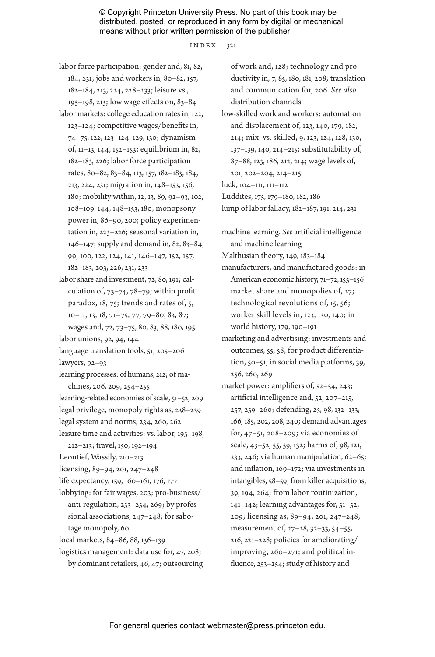#### index 321

labor force participation: gender and, 81, 82, 184, 231; jobs and workers in, 80–82, 157, 182–184, 213, 224, 228–233; leisure vs., 195–198, 213; low wage effects on, 83–84 labor markets: college education rates in, 122, 123–124; competitive wages/benefits in, 74–75, 122, 123–124, 129, 130; dynamism of, 11–13, 144, 152–153; equilibrium in, 82, 182–183, 226; labor force participation rates, 80–82, 83–84, 113, 157, 182–183, 184, 213, 224, 231; migration in, 148–153, 156, 180; mobility within, 12, 13, 89, 92–93, 102, 108–109, 144, 148–153, 180; monopsony power in, 86–90, 200; policy experimentation in, 223–226; seasonal variation in, 146–147; supply and demand in, 82, 83–84, 99, 100, 122, 124, 141, 146–147, 152, 157, 182–183, 203, 226, 231, 233 labor share and investment, 72, 80, 191; calculation of, 73–74, 78–79; within profit paradox, 18, 75; trends and rates of, 5, 10–11, 13, 18, 71–75, 77, 79–80, 83, 87; wages and, 72, 73–75, 80, 83, 88, 180, 195 labor unions, 92, 94, 144 language translation tools, 51, 205–206 lawyers, 92–93

learning processes: of humans, 212; of machines, 206, 209, 254–255

- learning-related economies of scale, 51–52, 209 legal privilege, monopoly rights as, 238–239 legal system and norms, 234, 260, 262 leisure time and activities: vs. labor, 195–198,
	- 212–213; travel, 150, 192–194
- Leontief, Wassily, 210–213
- licensing, 89–94, 201, 247–248
- life expectancy, 159, 160–161, 176, 177
- lobbying: for fair wages, 203; pro-business/ anti-regulation, 253–254, 269; by professional associations, 247–248; for sabotage monopoly, 60
- local markets, 84–86, 88, 136–139
- logistics management: data use for, 47, 208; by dominant retailers, 46, 47; outsourcing

of work and, 128; technology and productivity in, 7, 85, 180, 181, 208; translation and communication for, 206. *See also* distribution channels low-skilled work and workers: automation and displacement of, 123, 140, 179, 182, 214; mix, vs. skilled, 9, 123, 124, 128, 130, 137–139, 140, 214–215; substitutability of, 87–88, 123, 186, 212, 214; wage levels of, 201, 202–204, 214–215 luck, 104–111, 111–112

Luddites, 175, 179–180, 182, 186

lump of labor fallacy, 182–187, 191, 214, 231

machine learning. *See* artificial intelligence and machine learning

Malthusian theory, 149, 183–184

- manufacturers, and manufactured goods: in American economic history, 71–72, 155–156; market share and monopolies of, 27; technological revolutions of, 15, 56; worker skill levels in, 123, 130, 140; in world history, 179, 190–191
- marketing and advertising: investments and outcomes, 55, 58; for product differentiation, 50–51; in social media platforms, 39, 256, 260, 269
- market power: amplifiers of, 52–54, 243; artificial intelligence and, 52, 207–215, 257, 259–260; defending, 25, 98, 132–133, 166, 185, 202, 208, 240; demand advantages for, 47–51, 208–209; via economies of scale, 43–52, 55, 59, 132; harms of, 98, 121, 233, 246; via human manipulation, 62–65; and inflation, 169–172; via investments in intangibles, 58–59; from killer acquisitions, 39, 194, 264; from labor routinization, 141–142; learning advantages for, 51–52, 209; licensing as, 89–94, 201, 247–248; measurement of, 27–28, 32–33, 54–55, 216, 221–228; policies for ameliorating/ improving, 260–271; and political influence, 253–254; study of history and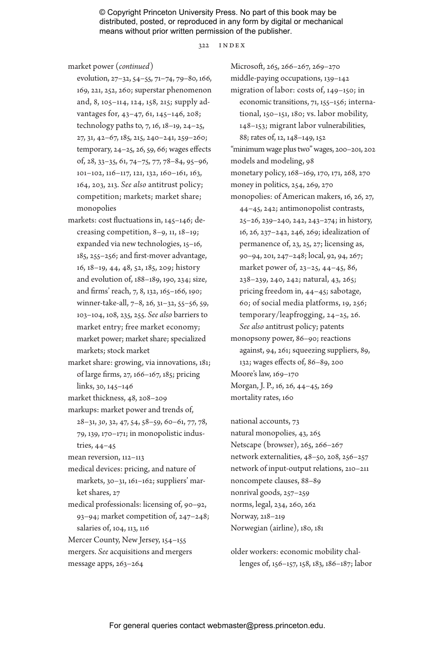#### 322 index

market power (*continued*)

evolution, 27–32, 54–55, 71–74, 79–80, 166, 169, 221, 252, 260; superstar phenomenon and, 8, 105–114, 124, 158, 215; supply advantages for, 43–47, 61, 145–146, 208; technology paths to, 7, 16, 18–19, 24–25, 27, 31, 42–67, 185, 215, 240–241, 259–260; temporary, 24–25, 26, 59, 66; wages effects of, 28, 33–35, 61, 74–75, 77, 78–84, 95–96, 101–102, 116–117, 121, 132, 160–161, 163, 164, 203, 213. *See also* antitrust policy; competition; markets; market share; monopolies

- markets: cost fluctuations in, 145–146; decreasing competition, 8–9, 11, 18–19; expanded via new technologies, 15–16, 185, 255–256; and first-mover advantage, 16, 18–19, 44, 48, 52, 185, 209; history and evolution of, 188–189, 190, 234; size, and firms' reach, 7, 8, 132, 165–166, 190; winner-take-all, 7–8, 26, 31–32, 55–56, 59, 103–104, 108, 235, 255. *See also* barriers to market entry; free market economy; market power; market share; specialized markets; stock market
- market share: growing, via innovations, 181; of large firms, 27, 166–167, 185; pricing links, 30, 145–146
- market thickness, 48, 208–209
- markups: market power and trends of, 28–31, *30*, 32, 47, 54, 58–59, 60–61, 77, 78, 79, 139, 170–171; in monopolistic industries, 44–45
- mean reversion, 112–113

medical devices: pricing, and nature of markets, 30–31, 161–162; suppliers' market shares, 27

medical professionals: licensing of, 90–92, 93–94; market competition of, 247–248; salaries of, 104, 113, 116

Mercer County, New Jersey, 154–155 mergers. *See* acquisitions and mergers message apps, 263–264

Microsoft, 265, 266–267, 269–270 middle-paying occupations, 139–142 migration of labor: costs of, 149–150; in economic transitions, 71, 155–156; international, 150–151, 180; vs. labor mobility, 148–153; migrant labor vulnerabilities, 88; rates of, 12, 148–149, 152 "minimum wage plus two" wages, 200–201, 202 models and modeling, 98 monetary policy, 168–169, 170, 171, 268, 270 money in politics, 254, 269, 270 monopolies: of American makers, 16, 26, 27, 44–45, 242; antimonopolist contrasts, 25–26, 239–240, 242, 243–274; in history, 16, 26, 237–242, 246, 269; idealization of permanence of, 23, 25, 27; licensing as, 90–94, 201, 247–248; local, 92, 94, 267; market power of, 23–25, 44–45, 86, 238–239, 240, 242; natural, 43, 265; pricing freedom in, 44–45; sabotage, 60; of social media platforms, 19, 256; temporary/leapfrogging, 24–25, 26. *See also* antitrust policy; patents monopsony power, 86–90; reactions against, 94, 261; squeezing suppliers, 89, 132; wages effects of, 86–89, 200 Moore's law, 169–170 Morgan, J. P., 16, 26, 44–45, 269 mortality rates, 160

national accounts, 73 natural monopolies, 43, 265 Netscape (browser), 265, 266–267 network externalities, 48–50, 208, 256–257 network of input-output relations, 210–211 noncompete clauses, 88–89 nonrival goods, 257–259 norms, legal, 234, 260, 262 Norway, 218–219 Norwegian (airline), 180, 181

older workers: economic mobility challenges of, 156–157, 158, 183, 186–187; labor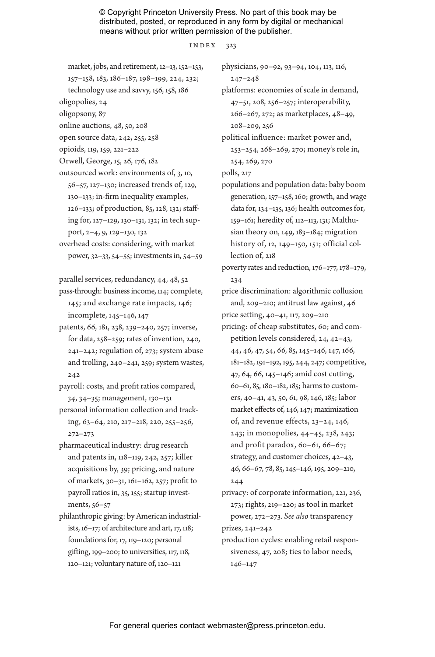#### $INDEX$  323

- market, jobs, and retirement, 12–13, 152–153,
- 157–158, 183, 186–187, 198–199, 224, 232;
- technology use and savvy, 156, 158, 186
- oligopolies, 24
- oligopsony, 87
- online auctions, 48, 50, 208
- open source data, 242, 255, 258
- opioids, 119, 159, 221–222
- Orwell, George, 15, 26, 176, 182
- outsourced work: environments of, 3, 10, 56–57, 127–130; increased trends of, 129, 130–133; in-firm inequality examples, 126–133; of production, 85, 128, 132; staffing for, 127–129, 130–131, 132; in tech support, 2–4, 9, 129–130, 132
- overhead costs: considering, with market power, 32–33, 54–55; investments in, 54–59
- parallel services, redundancy, 44, 48, 52
- pass-through: business income, 114; complete, 145; and exchange rate impacts, 146; incomplete, 145–146, 147
- patents, 66, 181, 238, 239–240, 257; inverse, for data, 258–259; rates of invention, 240, 241–242; regulation of, 273; system abuse and trolling, 240–241, 259; system wastes, 242
- payroll: costs, and profit ratios compared, *34*, 34–35; management, 130–131
- personal information collection and tracking, 63–64, 210, 217–218, 220, 255–256, 272–273
- pharmaceutical industry: drug research and patents in, 118–119, 242, 257; killer acquisitions by, 39; pricing, and nature of markets, 30–31, 161–162, 257; profit to payroll ratios in, 35, 155; startup investments, 56–57
- philanthropic giving: by American industrialists, 16–17; of architecture and art, 17, 118; foundations for, 17, 119–120; personal gifting, 199–200; to universities, 117, 118, 120–121; voluntary nature of, 120–121
- physicians, 90–92, 93–94, 104, 113, 116, 247–248
- platforms: economies of scale in demand, 47–51, 208, 256–257; interoperability, 266–267, 272; as marketplaces, 48–49, 208–209, 256
- political influence: market power and, 253–254, 268–269, 270; money's role in, 254, 269, 270

polls, 217

- populations and population data: baby boom generation, 157–158, 160; growth, and wage data for, 134–135, 136; health outcomes for, 159–161; heredity of, 112–113, 131; Malthusian theory on, 149, 183–184; migration history of, 12, 149–150, 151; official collection of, 218
- poverty rates and reduction, 176–177, 178–179, 234
- price discrimination: algorithmic collusion and, 209–210; antitrust law against, 46
- price setting, 40–41, 117, 209–210
- pricing: of cheap substitutes, 60; and competition levels considered, 24, 42–43, 44, 46, 47, 54, 66, 85, 145–146, 147, 166, 181–182, 191–192, 195, 244, 247; competitive, 47, 64, 66, 145–146; amid cost cutting, 60–61, 85, 180–182, 185; harms to customers, 40–41, 43, 50, 61, 98, 146, 185; labor market effects of, 146, 147; maximization of, and revenue effects, 23–24, 146, 243; in monopolies, 44–45, 238, 243; and profit paradox, 60–61, 66–67; strategy, and customer choices, 42–43, 46, 66–67, 78, 85, 145–146, 195, 209–210, 244
- privacy: of corporate information, 221, 236, 273; rights, 219–220; as tool in market power, 272–273. *See also* transparency prizes, 241–242
- production cycles: enabling retail responsiveness, 47, 208; ties to labor needs, 146–147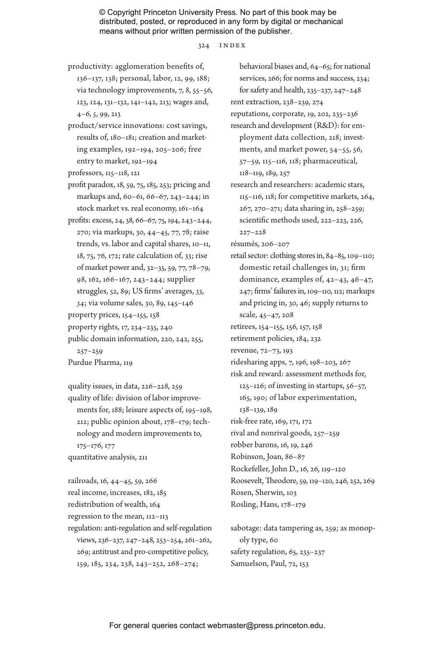#### 324 index

- productivity: agglomeration benefits of, 136–137, 138; personal, labor, 12, 99, 188; via technology improvements, 7, 8, 55–56, 123, 124, 131–132, 141–142, 213; wages and, 4–6, *5*, 99, 213
- product/service innovations: cost savings, results of, 180–181; creation and marketing examples, 192–194, 205–206; free entry to market, 192–194
- professors, 115–118, 121
- profit paradox, 18, 59, 75, 185, 253; pricing and markups and, 60–61, 66–67, 243–244; in stock market vs. real economy, 161–164
- profits: excess, 24, 38, 66–67, 75, 194, 243–244, 270; via markups, 30, 44–45, 77, 78; raise trends, vs. labor and capital shares, 10–11, 18, 75, 76, 172; rate calculation of, 33; rise of market power and, 32–35, 59, 77, 78–79, 98, 162, 166–167, 243–244; supplier struggles, 52, 89; US firms' averages, *33*, *34*; via volume sales, 30, 89, 145–146
- property prices, 154–155, 158
- property rights, 17, 234–235, 240
- public domain information, 220, 242, 255, 257–259

Purdue Pharma, 119

quality issues, in data, 226–228, 259 quality of life: division of labor improvements for, 188; leisure aspects of, 195–198, 212; public opinion about, 178–179; technology and modern improvements to, 175–176, 177 quantitative analysis, 211

railroads, 16, 44–45, 59, 266 real income, increases, 182, 185 redistribution of wealth, 164 regression to the mean, 112–113 regulation: anti-regulation and self-regulation views, 236–237, 247–248, 253–254, 261–262, 269; antitrust and pro-competitive policy, 159, 185, 234, 238, 243–252, 268–274;

behavioral biases and, 64–65; for national services, 266; for norms and success, 234; for safety and health, 235–237, 247–248 rent extraction, 238–239, 274 reputations, corporate, 19, 202, 235–236 research and development (R&D): for employment data collection, 218; investments, and market power, 54–55, 56, 57–59, 115–116, 118; pharmaceutical, 118–119, 189, 257 research and researchers: academic stars, 115–116, 118; for competitive markets, 264, 267, 270–271; data sharing in, 258–259; scientific methods used, 222–223, 226, 227–228 résumés, 206–207 retail sector: clothing stores in, 84–85, 109–110; domestic retail challenges in, 31; firm dominance, examples of, 42–43, 46–47, 247; firms' failures in, 109–110, 112; markups and pricing in, 30, 46; supply returns to scale, 45–47, 208 retirees, 154–155, 156, 157, 158 retirement policies, 184, 232 revenue, 72–73, 193 ridesharing apps, 7, 196, 198–203, 267 risk and reward: assessment methods for,  $125-126$ ; of investing in startups,  $56-57$ , 165, 190; of labor experimentation, 138–139, 189 risk-free rate, 169, 171, 172 rival and nonrival goods, 257–259 robber barons, 16, 19, 246 Robinson, Joan, 86–87 Rockefeller, John D., 16, 26, 119–120 Roosevelt, Theodore, 59, 119–120, 246, 252, 269 Rosen, Sherwin, 103 Rosling, Hans, 178–179

sabotage: data tampering as, 259; as monopoly type, 60 safety regulation, 65, 235-237 Samuelson, Paul, 72, 153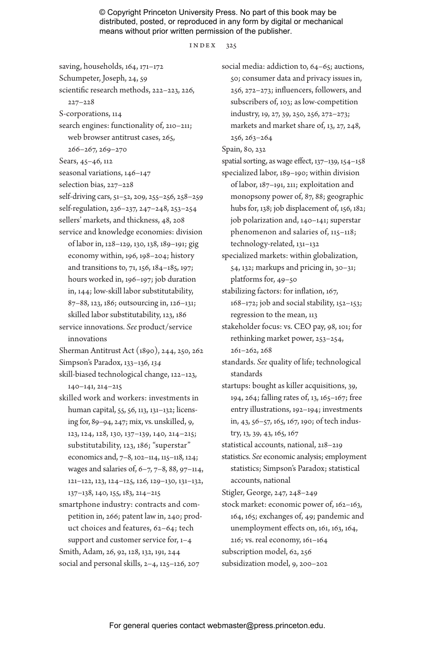#### index 325

saving, households, 164, 171–172 Schumpeter, Joseph, 24, 59 scientific research methods, 222–223, 226, 227–228 S-corporations, 114 search engines: functionality of, 210–211; web browser antitrust cases, 265, 266–267, 269–270 Sears, 45–46, 112 seasonal variations, 146–147 selection bias, 227–228 self-driving cars, 51–52, 209, 255–256, 258–259 self-regulation, 236–237, 247–248, 253–254 sellers' markets, and thickness, 48, 208 service and knowledge economies: division of labor in, 128–129, 130, 138, 189–191; gig economy within, 196, 198–204; history and transitions to, 71, 156, 184–185, 197; hours worked in, 196–197; job duration in, 144; low-skill labor substitutability, 87–88, 123, 186; outsourcing in, 126–131; skilled labor substitutability, 123, 186 service innovations. *See* product/service innovations Sherman Antitrust Act (1890), 244, 250, 262 Simpson's Paradox, 133–136, *134* skill-biased technological change, 122–123, 140–141, 214–215 skilled work and workers: investments in human capital, 55, 56, 113, 131–132; licensing for, 89–94, 247; mix, vs. unskilled, 9, 123, 124, 128, 130, 137–139, 140, 214–215; substitutability, 123, 186; "superstar" economics and, 7–8, 102–114, 115–118, 124; wages and salaries of, 6–7, 7–8, 88, 97–114, 121–122, 123, 124–125, 126, 129–130, 131–132, 137–138, 140, 155, 183, 214–215 smartphone industry: contracts and competition in, 266; patent law in, 240; product choices and features, 62–64; tech support and customer service for, 1–4 Smith, Adam, 26, 92, 128, 132, 191, 244 social and personal skills, 2–4, 125–126, 207

social media: addiction to, 64–65; auctions, 50; consumer data and privacy issues in, 256, 272–273; influencers, followers, and subscribers of, 103; as low-competition industry, 19, 27, 39, 250, 256, 272–273; markets and market share of, 13, 27, 248, 256, 263–264

Spain, 80, 232

- spatial sorting, as wage effect, 137–139, 154–158 specialized labor, 189–190; within division of labor, 187–191, 211; exploitation and monopsony power of, 87, 88; geographic hubs for, 138; job displacement of, 156, 182; job polarization and, 140–141; superstar phenomenon and salaries of, 115–118; technology-related, 131–132
- specialized markets: within globalization, 54, 132; markups and pricing in, 30–31; platforms for, 49–50
- stabilizing factors: for inflation, 167, 168–172; job and social stability, 152–153; regression to the mean, 113
- stakeholder focus: vs. CEO pay, 98, 101; for rethinking market power, 253–254, 261–262, 268
- standards. *See* quality of life; technological standards
- startups: bought as killer acquisitions, 39, 194, 264; falling rates of, 13, 165–167; free entry illustrations, 192–194; investments in, 43, 56–57, 165, 167, 190; of tech industry, 13, 39, 43, 165, 167

statistical accounts, national, 218–219

statistics. *See* economic analysis; employment statistics; Simpson's Paradox; statistical accounts, national

Stigler, George, 247, 248–249

stock market: economic power of, 162–163, 164, 165; exchanges of, 49; pandemic and unemployment effects on, 161, 163, 164, 216; vs. real economy, 161–164 subscription model, 62, 256 subsidization model, 9, 200–202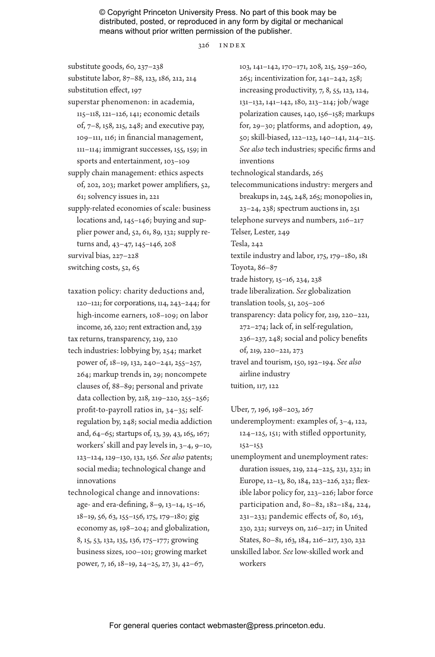#### 326 index

substitute goods, 60, 237–238 substitute labor, 87–88, 123, 186, 212, 214 substitution effect, 197 superstar phenomenon: in academia, 115–118, 121–126, 141; economic details of, 7–8, 158, 215, 248; and executive pay, 109–111, 116; in financial management, 111–114; immigrant successes, 155, 159; in sports and entertainment, 103–109 supply chain management: ethics aspects of, 202, 203; market power amplifiers, 52, 61; solvency issues in, 221 supply-related economies of scale: business locations and, 145–146; buying and supplier power and, 52, 61, 89, 132; supply returns and, 43–47, 145–146, 208 survival bias, 227–228

switching costs, 52, 65

innovations

taxation policy: charity deductions and, 120–121; for corporations, 114, 243–244; for high-income earners, 108–109; on labor income, 26, 220; rent extraction and, 239 tax returns, transparency, 219, 220 tech industries: lobbying by, 254; market power of, 18–19, 132, 240–241, 255–257, 264; markup trends in, 29; noncompete clauses of, 88–89; personal and private data collection by, 218, 219–220, 255–256; profit-to-payroll ratios in, 34–35; selfregulation by, 248; social media addiction and, 64–65; startups of, 13, 39, 43, 165, 167; workers' skill and pay levels in, 3–4, 9–10, 123–124, 129–130, 132, 156. *See also* patents; social media; technological change and

technological change and innovations: age- and era-defining, 8–9, 13–14, 15–16, 18–19, 56, 63, 155–156, 175, 179–180; gig economy as, 198–204; and globalization, 8, 15, 53, 132, 135, 136, 175–177; growing business sizes, 100–101; growing market power, 7, 16, 18–19, 24–25, 27, 31, 42–67,

103, 141–142, 170–171, 208, 215, 259–260, 265; incentivization for, 241–242, 258; increasing productivity, 7, 8, 55, 123, 124, 131–132, 141–142, 180, 213–214; job/wage polarization causes, 140, 156–158; markups for, 29–30; platforms, and adoption, 49, 50; skill-biased, 122–123, 140–141, 214–215. *See also* tech industries; specific firms and inventions technological standards, 265 telecommunications industry: mergers and breakups in, 245, 248, 265; monopolies in, 23–24, 238; spectrum auctions in, 251 telephone surveys and numbers, 216–217 Telser, Lester, 249 Tesla, 242 textile industry and labor, 175, 179–180, 181 Toyota, 86–87 trade history, 15–16, 234, 238 trade liberalization. *See* globalization translation tools, 51, 205–206 transparency: data policy for, 219, 220–221, 272–274; lack of, in self-regulation, 236–237, 248; social and policy benefits of, 219, 220–221, 273 travel and tourism, 150, 192–194. *See also* airline industry tuition, 117, 122

Uber, 7, 196, 198–203, 267

underemployment: examples of, 3–4, 122, 124–125, 151; with stifled opportunity,  $152 - 153$ 

unemployment and unemployment rates: duration issues, 219, 224–225, 231, 232; in Europe, 12–13, 80, 184, 223–226, 232; flexible labor policy for, 223–226; labor force participation and, 80–82, 182–184, 224, 231–233; pandemic effects of, 80, 163, 230, 232; surveys on, 216–217; in United States, 80–81, 163, 184, 216–217, 230, 232 unskilled labor. *See* low-skilled work and workers